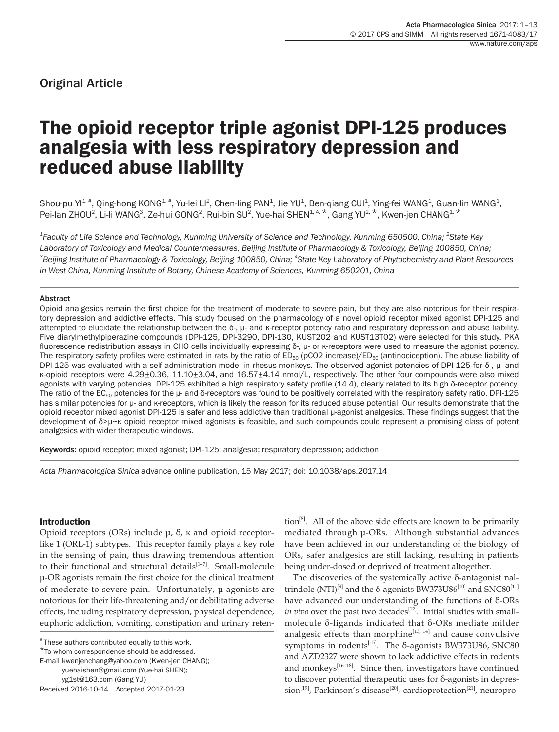Original Article

# The opioid receptor triple agonist DPI-125 produces analgesia with less respiratory depression and reduced abuse liability

Shou-pu Yl $^{1,+}$ , Qing-hong KONG $^{1,+}$ , Yu-lei Ll $^2$ , Chen-ling PAN $^1$ , Jie YU $^1$ , Ben-qiang CUI $^1$ , Ying-fei WANG $^1$ , Guan-lin WANG $^1$ , Pei-lan ZHOU $^2$ , Li-li WANG $^3$ , Ze-hui GONG $^2$ , Rui-bin SU $^2$ , Yue-hai SHEN $^{1,\,4,\,\star}$ , Gang YU $^{2,\,\star}$ , Kwen-jen CHANG $^{1,\,\star}$ 

 $^{\text{1}}$ Faculty of Life Science and Technology, Kunming University of Science and Technology, Kunming 650500, China; <sup>2</sup>State Key *Laboratory of Toxicology and Medical Countermeasures, Beijing Institute of Pharmacology & Toxicology, Beijing 100850, China;*   $^3$ Beijing Institute of Pharmacology & Toxicology, Beijing 100850, China; <sup>4</sup>State Key Laboratory of Phytochemistry and Plant Resources *in West China, Kunming Institute of Botany, Chinese Academy of Sciences, Kunming 650201, China*

## Abstract

Opioid analgesics remain the first choice for the treatment of moderate to severe pain, but they are also notorious for their respiratory depression and addictive effects. This study focused on the pharmacology of a novel opioid receptor mixed agonist DPI-125 and attempted to elucidate the relationship between the δ-, μ- and κ-receptor potency ratio and respiratory depression and abuse liability. Five diarylmethylpiperazine compounds (DPI-125, DPI-3290, DPI-130, KUST202 and KUST13T02) were selected for this study. PKA fluorescence redistribution assays in CHO cells individually expressing δ-, μ- or κ-receptors were used to measure the agonist potency. The respiratory safety profiles were estimated in rats by the ratio of  $ED_{50}$  (pCO2 increase)/ $ED_{50}$  (antinociception). The abuse liability of DPI-125 was evaluated with a self-administration model in rhesus monkeys. The observed agonist potencies of DPI-125 for δ-, μ- and κ-opioid receptors were 4.29±0.36, 11.10±3.04, and 16.57±4.14 nmol/L, respectively. The other four compounds were also mixed agonists with varying potencies. DPI-125 exhibited a high respiratory safety profile (14.4), clearly related to its high δ-receptor potency. The ratio of the EC<sub>50</sub> potencies for the μ- and δ-receptors was found to be positively correlated with the respiratory safety ratio. DPI-125 has similar potencies for μ- and κ-receptors, which is likely the reason for its reduced abuse potential. Our results demonstrate that the opioid receptor mixed agonist DPI-125 is safer and less addictive than traditional μ-agonist analgesics. These findings suggest that the development of δ>μ~κ opioid receptor mixed agonists is feasible, and such compounds could represent a promising class of potent analgesics with wider therapeutic windows.

Keywords: opioid receptor; mixed agonist; DPI-125; analgesia; respiratory depression; addiction

*Acta Pharmacologica Sinica* advance online publication, 15 May 2017; doi: 10.1038/aps.2017.14

## Introduction

Opioid receptors (ORs) include μ, δ, κ and opioid receptorlike 1 (ORL-1) subtypes. This receptor family plays a key role in the sensing of pain, thus drawing tremendous attention to their functional and structural details $[1-7]$ . Small-molecule μ-OR agonists remain the first choice for the clinical treatment of moderate to severe pain. Unfortunately, μ-agonists are notorious for their life-threatening and/or debilitating adverse effects, including respiratory depression, physical dependence, euphoric addiction, vomiting, constipation and urinary reten-

# These authors contributed equally to this work.

\*To whom correspondence should be addressed.

E-mail kwenjenchang@yahoo.com (Kwen-jen CHANG); yuehaishen@gmail.com (Yue-hai SHEN); yg1st@163.com (Gang YU)

Received 2016-10-14 Accepted 2017-01-23

tion<sup>[8]</sup>. All of the above side effects are known to be primarily mediated through μ-ORs. Although substantial advances have been achieved in our understanding of the biology of ORs, safer analgesics are still lacking, resulting in patients being under-dosed or deprived of treatment altogether.

The discoveries of the systemically active δ-antagonist naltrindole  $(NTI)^{[9]}$  and the  $\delta$ -agonists BW373U86<sup>[10]</sup> and SNC80<sup>[11]</sup> have advanced our understanding of the functions of δ-ORs *in vivo* over the past two decades<sup>[12]</sup>. Initial studies with smallmolecule δ-ligands indicated that δ-ORs mediate milder analgesic effects than morphine $[13, 14]$  and cause convulsive symptoms in rodents[15]. The δ-agonists BW373U86, SNC80 and AZD2327 were shown to lack addictive effects in rodents and monkeys<sup>[16-18]</sup>. Since then, investigators have continued to discover potential therapeutic uses for δ-agonists in depression<sup>[19]</sup>, Parkinson's disease<sup>[20]</sup>, cardioprotection<sup>[21]</sup>, neuropro-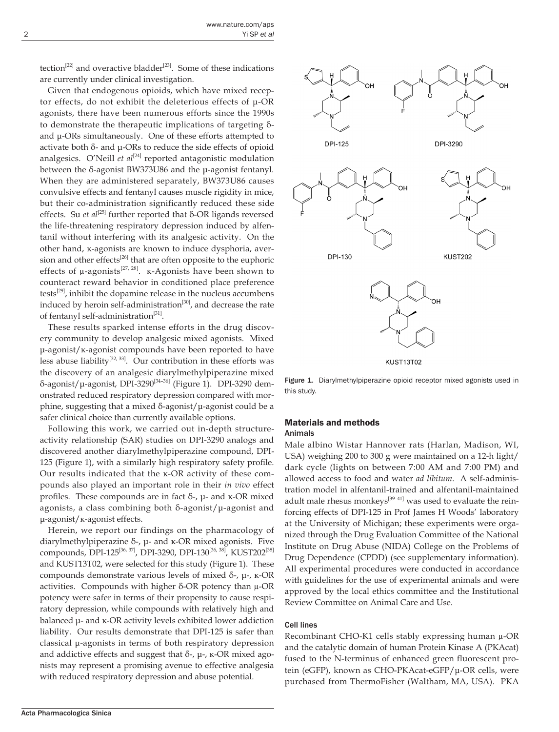tection<sup>[22]</sup> and overactive bladder<sup>[23]</sup>. Some of these indications are currently under clinical investigation.

Given that endogenous opioids, which have mixed receptor effects, do not exhibit the deleterious effects of μ-OR agonists, there have been numerous efforts since the 1990s to demonstrate the therapeutic implications of targeting δand μ-ORs simultaneously. One of these efforts attempted to activate both δ- and μ-ORs to reduce the side effects of opioid analgesics. O'Neill *et al*<sup>[24]</sup> reported antagonistic modulation between the δ-agonist BW373U86 and the μ-agonist fentanyl. When they are administered separately, BW373U86 causes convulsive effects and fentanyl causes muscle rigidity in mice, but their co-administration significantly reduced these side effects. Su *et al*<sup>[25]</sup> further reported that δ-OR ligands reversed the life-threatening respiratory depression induced by alfentanil without interfering with its analgesic activity. On the other hand, κ-agonists are known to induce dysphoria, aversion and other effects<sup>[26]</sup> that are often opposite to the euphoric effects of μ-agonists<sup>[27, 28]</sup>. κ-Agonists have been shown to counteract reward behavior in conditioned place preference tests<sup>[29]</sup>, inhibit the dopamine release in the nucleus accumbens induced by heroin self-administration<sup>[30]</sup>, and decrease the rate of fentanyl self-administration<sup>[31]</sup>.

These results sparked intense efforts in the drug discovery community to develop analgesic mixed agonists. Mixed μ-agonist/κ-agonist compounds have been reported to have less abuse liability<sup>[32, 33]</sup>. Our contribution in these efforts was the discovery of an analgesic diarylmethylpiperazine mixed δ-agonist/ $\mu$ -agonist, DPI-3290<sup>[34-36]</sup> (Figure 1). DPI-3290 demonstrated reduced respiratory depression compared with morphine, suggesting that a mixed δ-agonist/μ-agonist could be a safer clinical choice than currently available options.

Following this work, we carried out in-depth structureactivity relationship (SAR) studies on DPI-3290 analogs and discovered another diarylmethylpiperazine compound, DPI-125 (Figure 1), with a similarly high respiratory safety profile. Our results indicated that the κ-OR activity of these compounds also played an important role in their *in vivo* effect profiles. These compounds are in fact δ-, μ- and κ-OR mixed agonists, a class combining both δ-agonist/μ-agonist and μ-agonist/κ-agonist effects.

Herein, we report our findings on the pharmacology of diarylmethylpiperazine δ-, μ- and κ-OR mixed agonists. Five compounds, DPI-125<sup>[36, 37]</sup>, DPI-3290, DPI-130<sup>[36, 38]</sup>, KUST202<sup>[38]</sup> and KUST13T02, were selected for this study (Figure 1). These compounds demonstrate various levels of mixed δ-, μ-, κ-OR activities. Compounds with higher δ-OR potency than µ-OR potency were safer in terms of their propensity to cause respiratory depression, while compounds with relatively high and balanced μ- and κ-OR activity levels exhibited lower addiction liability. Our results demonstrate that DPI-125 is safer than classical μ-agonists in terms of both respiratory depression and addictive effects and suggest that δ-, μ-, κ-OR mixed agonists may represent a promising avenue to effective analgesia with reduced respiratory depression and abuse potential.



Figure 1. Diarylmethylpiperazine opioid receptor mixed agonists used in this study.

## Materials and methods

## Animals

Male albino Wistar Hannover rats (Harlan, Madison, WI, USA) weighing 200 to 300 g were maintained on a 12-h light/ dark cycle (lights on between 7:00 AM and 7:00 PM) and allowed access to food and water *ad libitum*. A self-administration model in alfentanil-trained and alfentanil-maintained adult male rhesus monkeys<sup>[39-41]</sup> was used to evaluate the reinforcing effects of DPI-125 in Prof James H Woods' laboratory at the University of Michigan; these experiments were organized through the Drug Evaluation Committee of the National Institute on Drug Abuse (NIDA) College on the Problems of Drug Dependence (CPDD) (see supplementary information). All experimental procedures were conducted in accordance with guidelines for the use of experimental animals and were approved by the local ethics committee and the Institutional Review Committee on Animal Care and Use.

#### Cell lines

Recombinant CHO-K1 cells stably expressing human µ-OR and the catalytic domain of human Protein Kinase A (PKAcat) fused to the N-terminus of enhanced green fluorescent protein (eGFP), known as CHO-PKAcat-eGFP/μ-OR cells, were purchased from ThermoFisher (Waltham, MA, USA). PKA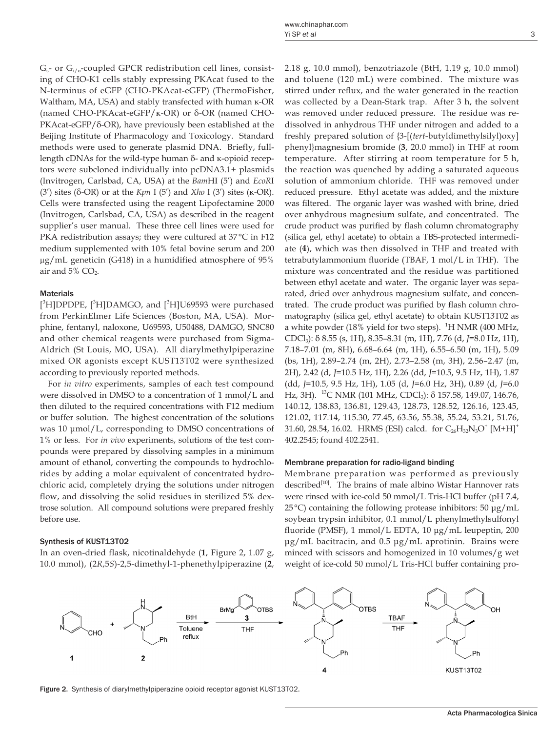$G_s$ - or  $G_{i/o}$ -coupled GPCR redistribution cell lines, consisting of CHO-K1 cells stably expressing PKAcat fused to the N-terminus of eGFP (CHO-PKAcat-eGFP) (ThermoFisher, Waltham, MA, USA) and stably transfected with human κ-OR (named CHO-PKAcat-eGFP/κ-OR) or δ-OR (named CHO-PKAcat-eGFP/δ-OR), have previously been established at the Beijing Institute of Pharmacology and Toxicology. Standard methods were used to generate plasmid DNA. Briefly, fulllength cDNAs for the wild-type human δ- and κ-opioid receptors were subcloned individually into pcDNA3.1+ plasmids (Invitrogen, Carlsbad, CA, USA) at the *Bam*HI (5') and *EcoR*I (3') sites (δ-OR) or at the *Kpn* I (5') and *Xho* I (3') sites (κ-OR). Cells were transfected using the reagent Lipofectamine 2000 (Invitrogen, Carlsbad, CA, USA) as described in the reagent supplier's user manual. These three cell lines were used for PKA redistribution assays; they were cultured at 37°C in F12 medium supplemented with 10% fetal bovine serum and 200 µg/mL geneticin (G418) in a humidified atmosphere of 95% air and  $5\%$  CO<sub>2</sub>.

## **Materials**

[ ${}^{3}$ H]DPDPE, [ ${}^{3}$ H]DAMGO, and [ ${}^{3}$ H]U69593 were purchased from PerkinElmer Life Sciences (Boston, MA, USA). Morphine, fentanyl, naloxone, U69593, U50488, DAMGO, SNC80 and other chemical reagents were purchased from Sigma-Aldrich (St Louis, MO, USA). All diarylmethylpiperazine mixed OR agonists except KUST13T02 were synthesized according to previously reported methods.

For *in vitro* experiments, samples of each test compound were dissolved in DMSO to a concentration of 1 mmol/L and then diluted to the required concentrations with F12 medium or buffer solution. The highest concentration of the solutions was 10 μmol/L, corresponding to DMSO concentrations of 1% or less. For *in vivo* experiments, solutions of the test compounds were prepared by dissolving samples in a minimum amount of ethanol, converting the compounds to hydrochlorides by adding a molar equivalent of concentrated hydrochloric acid, completely drying the solutions under nitrogen flow, and dissolving the solid residues in sterilized 5% dextrose solution. All compound solutions were prepared freshly before use.

#### Synthesis of KUST13T02

In an oven-dried flask, nicotinaldehyde (**1**, Figure 2, 1.07 g, 10.0 mmol), (2*R*,5*S*)-2,5-dimethyl-1-phenethylpiperazine (**2**, 2.18 g, 10.0 mmol), benzotriazole (BtH, 1.19 g, 10.0 mmol) and toluene (120 mL) were combined. The mixture was stirred under reflux, and the water generated in the reaction was collected by a Dean-Stark trap. After 3 h, the solvent was removed under reduced pressure. The residue was redissolved in anhydrous THF under nitrogen and added to a freshly prepared solution of {3-[(*tert*-butyldimethylsilyl)oxy] phenyl}magnesium bromide (**3**, 20.0 mmol) in THF at room temperature. After stirring at room temperature for 5 h, the reaction was quenched by adding a saturated aqueous solution of ammonium chloride. THF was removed under reduced pressure. Ethyl acetate was added, and the mixture was filtered. The organic layer was washed with brine, dried over anhydrous magnesium sulfate, and concentrated. The crude product was purified by flash column chromatography (silica gel, ethyl acetate) to obtain a TBS-protected intermediate (**4**), which was then dissolved in THF and treated with tetrabutylammonium fluoride (TBAF, 1 mol/L in THF). The mixture was concentrated and the residue was partitioned between ethyl acetate and water. The organic layer was separated, dried over anhydrous magnesium sulfate, and concentrated. The crude product was purified by flash column chromatography (silica gel, ethyl acetate) to obtain KUST13T02 as a white powder (18% yield for two steps).  $\mathrm{^{1}H}$  NMR (400 MHz, CDCl3): δ 8.55 (s, 1H), 8.35–8.31 (m, 1H), 7.76 (d, *J*=8.0 Hz, 1H), 7.18–7.01 (m, 8H), 6.68–6.64 (m, 1H), 6.55–6.50 (m, 1H), 5.09 (bs, 1H), 2.89–2.74 (m, 2H), 2.73–2.58 (m, 3H), 2.56–2.47 (m, 2H), 2.42 (d, *J*=10.5 Hz, 1H), 2.26 (dd, *J*=10.5, 9.5 Hz, 1H), 1.87 (dd, *J*=10.5, 9.5 Hz, 1H), 1.05 (d, *J*=6.0 Hz, 3H), 0.89 (d, *J*=6.0 Hz, 3H). <sup>13</sup>C NMR (101 MHz, CDCl<sub>3</sub>):  $\delta$  157.58, 149.07, 146.76, 140.12, 138.83, 136.81, 129.43, 128.73, 128.52, 126.16, 123.45, 121.02, 117.14, 115.30, 77.45, 63.56, 55.38, 55.24, 53.21, 51.76, 31.60, 28.54, 16.02. HRMS (ESI) calcd. for  $C_{26}H_{32}N_3O^+$  [M+H]<sup>+</sup> 402.2545; found 402.2541.

#### Membrane preparation for radio-ligand binding

Membrane preparation was performed as previously described<sup>[10]</sup>. The brains of male albino Wistar Hannover rats were rinsed with ice-cold 50 mmol/L Tris-HCl buffer (pH 7.4, 25°C) containing the following protease inhibitors: 50 μg/mL soybean trypsin inhibitor, 0.1 mmol/L phenylmethylsulfonyl fluoride (PMSF), 1 mmol/L EDTA, 10 μg/mL leupeptin, 200 μg/mL bacitracin, and 0.5 μg/mL aprotinin. Brains were minced with scissors and homogenized in 10 volumes/g wet weight of ice-cold 50 mmol/L Tris-HCl buffer containing pro-



Figure 2. Synthesis of diarylmethylpiperazine opioid receptor agonist KUST13T02.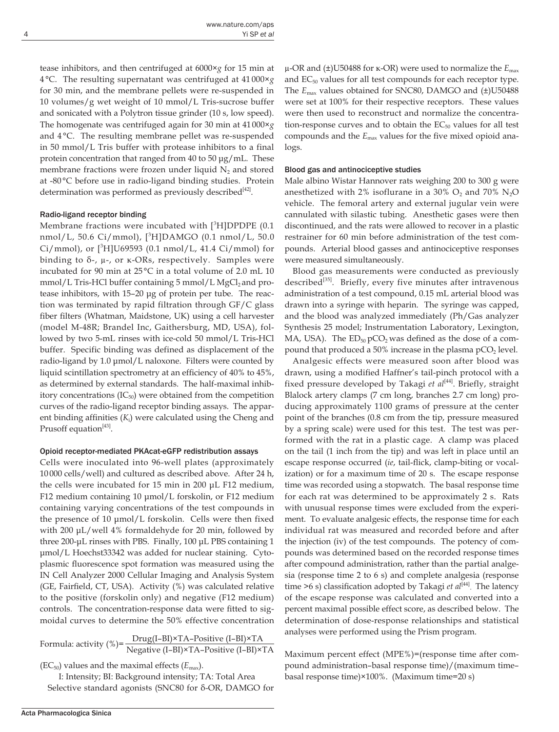tease inhibitors, and then centrifuged at 6000×*g* for 15 min at 4 °C. The resulting supernatant was centrifuged at 41 000×*g* for 30 min, and the membrane pellets were re-suspended in 10 volumes/g wet weight of 10 mmol/L Tris-sucrose buffer and sonicated with a Polytron tissue grinder (10 s, low speed). The homogenate was centrifuged again for 30 min at 41 000×*g* and 4 °C. The resulting membrane pellet was re-suspended in 50 mmol/L Tris buffer with protease inhibitors to a final protein concentration that ranged from 40 to 50 μg/mL. These membrane fractions were frozen under liquid  $N_2$  and stored at -80 °C before use in radio-ligand binding studies. Protein determination was performed as previously described<sup>[42]</sup>.

## Radio-ligand receptor binding

Membrane fractions were incubated with  $[$ <sup>3</sup>H]DPDPE (0.1 nmol/L, 50.6 Ci/mmol), [<sup>3</sup> H]DAMGO (0.1 nmol/L, 50.0 Ci/mmol), or  $[{}^{3}H]U69593$  (0.1 nmol/L, 41.4 Ci/mmol) for binding to  $δ$ -,  $μ$ -, or  $κ$ -ORs, respectively. Samples were incubated for 90 min at 25 °C in a total volume of 2.0 mL 10  $mmol/L$  Tris-HCl buffer containing 5 mmol/L MgCl<sub>2</sub> and protease inhibitors, with 15–20 μg of protein per tube. The reaction was terminated by rapid filtration through GF/C glass fiber filters (Whatman, Maidstone, UK) using a cell harvester (model M-48R; Brandel Inc, Gaithersburg, MD, USA), followed by two 5-mL rinses with ice-cold 50 mmol/L Tris-HCl buffer. Specific binding was defined as displacement of the radio-ligand by 1.0 μmol/L naloxone. Filters were counted by liquid scintillation spectrometry at an efficiency of 40% to 45%, as determined by external standards. The half-maximal inhibitory concentrations  $(IC_{50})$  were obtained from the competition curves of the radio-ligand receptor binding assays. The apparent binding affinities (*K*i) were calculated using the Cheng and Prusoff equation $[43]$ .

#### Opioid receptor-mediated PKAcat-eGFP redistribution assays

Cells were inoculated into 96-well plates (approximately 10000 cells/well) and cultured as described above. After 24 h, the cells were incubated for 15 min in 200 μL F12 medium, F12 medium containing 10 μmol/L forskolin, or F12 medium containing varying concentrations of the test compounds in the presence of 10 μmol/L forskolin. Cells were then fixed with 200 μL/well 4% formaldehyde for 20 min, followed by three 200-μL rinses with PBS. Finally, 100 μL PBS containing 1 μmol/L Hoechst33342 was added for nuclear staining. Cytoplasmic fluorescence spot formation was measured using the IN Cell Analyzer 2000 Cellular Imaging and Analysis System (GE, Fairfield, CT, USA). Activity (%) was calculated relative to the positive (forskolin only) and negative (F12 medium) controls. The concentration-response data were fitted to sigmoidal curves to determine the 50% effective concentration

Formula: activity (%)=  $\frac{\text{Drug(I-BI)} \times \text{TA-Positive (I-BI)} \times \text{TA}}{\text{Negative (I-BI)} \times \text{TA-Positive (I-BI)} \times \text{TA}}$ 

 $(EC_{50})$  values and the maximal effects  $(E_{\text{max}})$ .

I: Intensity; BI: Background intensity; TA: Total Area Selective standard agonists (SNC80 for δ-OR, DAMGO for

µ-OR and (±)U50488 for κ-OR) were used to normalize the *E*max and  $EC_{50}$  values for all test compounds for each receptor type. The  $E_{\text{max}}$  values obtained for SNC80, DAMGO and (±)U50488 were set at 100% for their respective receptors. These values were then used to reconstruct and normalize the concentration-response curves and to obtain the  $EC_{50}$  values for all test compounds and the  $E_{\text{max}}$  values for the five mixed opioid analogs.

#### Blood gas and antinociceptive studies

Male albino Wistar Hannover rats weighing 200 to 300 g were anesthetized with 2% isoflurane in a 30%  $O_2$  and 70% N<sub>2</sub>O vehicle. The femoral artery and external jugular vein were cannulated with silastic tubing. Anesthetic gases were then discontinued, and the rats were allowed to recover in a plastic restrainer for 60 min before administration of the test compounds. Arterial blood gasses and antinociceptive responses were measured simultaneously.

Blood gas measurements were conducted as previously described<sup>[35]</sup>. Briefly, every five minutes after intravenous administration of a test compound, 0.15 mL arterial blood was drawn into a syringe with heparin. The syringe was capped, and the blood was analyzed immediately (Ph/Gas analyzer Synthesis 25 model; Instrumentation Laboratory, Lexington, MA, USA). The  $ED_{50}$  pCO<sub>2</sub> was defined as the dose of a compound that produced a 50% increase in the plasma  $pCO<sub>2</sub>$  level.

Analgesic effects were measured soon after blood was drawn, using a modified Haffner's tail-pinch protocol with a fixed pressure developed by Takagi et al<sup>[44]</sup>. Briefly, straight Blalock artery clamps (7 cm long, branches 2.7 cm long) producing approximately 1100 grams of pressure at the center point of the branches (0.8 cm from the tip, pressure measured by a spring scale) were used for this test. The test was performed with the rat in a plastic cage. A clamp was placed on the tail (1 inch from the tip) and was left in place until an escape response occurred (*ie*, tail-flick, clamp-biting or vocalization) or for a maximum time of 20 s. The escape response time was recorded using a stopwatch. The basal response time for each rat was determined to be approximately 2 s. Rats with unusual response times were excluded from the experiment. To evaluate analgesic effects, the response time for each individual rat was measured and recorded before and after the injection (iv) of the test compounds. The potency of compounds was determined based on the recorded response times after compound administration, rather than the partial analgesia (response time 2 to 6 s) and complete analgesia (response time  $\geq 6$  s) classification adopted by Takagi *et al*<sup>[44]</sup>. The latency of the escape response was calculated and converted into a percent maximal possible effect score, as described below. The determination of dose-response relationships and statistical analyses were performed using the Prism program.

Maximum percent effect (MPE%)=(response time after compound administration–basal response time)/(maximum time– basal response time)×100%. (Maximum time=20 s)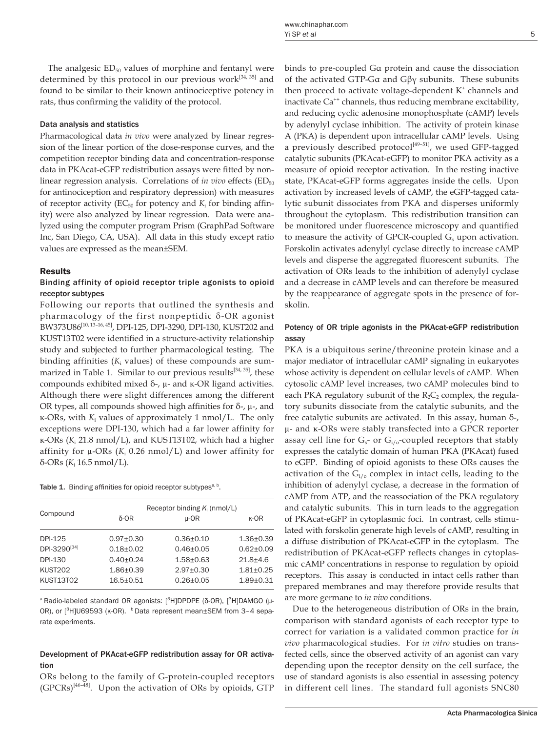The analgesic  $ED_{50}$  values of morphine and fentanyl were determined by this protocol in our previous work<sup>[34, 35]</sup> and found to be similar to their known antinociceptive potency in rats, thus confirming the validity of the protocol.

## Data analysis and statistics

Pharmacological data *in vivo* were analyzed by linear regression of the linear portion of the dose-response curves, and the competition receptor binding data and concentration-response data in PKAcat-eGFP redistribution assays were fitted by nonlinear regression analysis. Correlations of *in vivo* effects (ED<sub>50</sub>) for antinociception and respiratory depression) with measures of receptor activity ( $EC_{50}$  for potency and  $K_i$  for binding affinity) were also analyzed by linear regression. Data were analyzed using the computer program Prism (GraphPad Software Inc, San Diego, CA, USA). All data in this study except ratio values are expressed as the mean±SEM.

#### Results

## Binding affinity of opioid receptor triple agonists to opioid receptor subtypes

Following our reports that outlined the synthesis and pharmacology of the first nonpeptidic δ-OR agonist BW373U86[10, 13–16, 45], DPI-125, DPI-3290, DPI-130, KUST202 and KUST13T02 were identified in a structure-activity relationship study and subjected to further pharmacological testing. The binding affinities  $(K<sub>i</sub>$  values) of these compounds are summarized in Table 1. Similar to our previous results $[34, 35]$ , these compounds exhibited mixed δ-, µ- and κ-OR ligand activities. Although there were slight differences among the different OR types, all compounds showed high affinities for  $\delta$ -,  $\mu$ -, and κ-ORs, with *K*i values of approximately 1 nmol/L. The only exceptions were DPI-130, which had a far lower affinity for κ-ORs (*K*i 21.8 nmol/L), and KUST13T02, which had a higher affinity for  $\mu$ -ORs ( $K_i$  0.26 nmol/L) and lower affinity for δ-ORs (*K*i 16.5 nmol/L).

|  | Table 1. Binding affinities for opioid receptor subtypes <sup>a, b</sup> . |  |  |  |
|--|----------------------------------------------------------------------------|--|--|--|
|--|----------------------------------------------------------------------------|--|--|--|

|                     |               | Receptor binding $K_i$ (nmol/L) |                 |
|---------------------|---------------|---------------------------------|-----------------|
| Compound            | $\delta$ -OR  | $\mu$ -OR                       | K-OR            |
| DPI-125             | $0.97 + 0.30$ | $0.36 + 0.10$                   | $1.36 + 0.39$   |
| DPI-3290[34]        | $0.18 + 0.02$ | $0.46 \pm 0.05$                 | $0.62 \pm 0.09$ |
| DPI-130             | $0.40 + 0.24$ | $1.58 + 0.63$                   | $21.8 + 4.6$    |
| KUST <sub>202</sub> | $1.86 + 0.39$ | $2.97 + 0.30$                   | $1.81 + 0.25$   |
| <b>KUST13T02</b>    | $16.5 + 0.51$ | $0.26 \pm 0.05$                 | $1.89 + 0.31$   |

a Radio-labeled standard OR agonists: [<sup>3</sup>H]DPDPE (δ-OR), [<sup>3</sup>H]DAMGO (μ-OR), or [<sup>3</sup>H]U69593 (κ-OR). <sup>b</sup> Data represent mean±SEM from 3-4 separate experiments.

## Development of PKAcat-eGFP redistribution assay for OR activation

ORs belong to the family of G-protein-coupled receptors (GPCRs)[46–48]. Upon the activation of ORs by opioids, GTP

binds to pre-coupled Gα protein and cause the dissociation of the activated GTP-Gα and Gβγ subunits. These subunits then proceed to activate voltage-dependent  $K^*$  channels and inactivate  $Ca^{++}$  channels, thus reducing membrane excitability, and reducing cyclic adenosine monophosphate (cAMP) levels by adenylyl cyclase inhibition. The activity of protein kinase A (PKA) is dependent upon intracellular cAMP levels. Using a previously described protocol $[49-51]$ , we used GFP-tagged catalytic subunits (PKAcat-eGFP) to monitor PKA activity as a measure of opioid receptor activation. In the resting inactive state, PKAcat-eGFP forms aggregates inside the cells. Upon activation by increased levels of cAMP, the eGFP-tagged catalytic subunit dissociates from PKA and disperses uniformly throughout the cytoplasm. This redistribution transition can be monitored under fluorescence microscopy and quantified to measure the activity of GPCR-coupled  $G_s$  upon activation. Forskolin activates adenylyl cyclase directly to increase cAMP levels and disperse the aggregated fluorescent subunits. The activation of ORs leads to the inhibition of adenylyl cyclase and a decrease in cAMP levels and can therefore be measured by the reappearance of aggregate spots in the presence of forskolin.

## Potency of OR triple agonists in the PKAcat-eGFP redistribution assay

PKA is a ubiquitous serine/threonine protein kinase and a major mediator of intracellular cAMP signaling in eukaryotes whose activity is dependent on cellular levels of cAMP. When cytosolic cAMP level increases, two cAMP molecules bind to each PKA regulatory subunit of the  $R_2C_2$  complex, the regulatory subunits dissociate from the catalytic subunits, and the free catalytic subunits are activated. In this assay, human δ-, µ- and κ-ORs were stably transfected into a GPCR reporter assay cell line for  $G_s$ - or  $G_i$ <sub>/0</sub>-coupled receptors that stably expresses the catalytic domain of human PKA (PKAcat) fused to eGFP. Binding of opioid agonists to these ORs causes the activation of the  $G_i$ <sub>/0</sub> complex in intact cells, leading to the inhibition of adenylyl cyclase, a decrease in the formation of cAMP from ATP, and the reassociation of the PKA regulatory and catalytic subunits. This in turn leads to the aggregation of PKAcat-eGFP in cytoplasmic foci. In contrast, cells stimulated with forskolin generate high levels of cAMP, resulting in a diffuse distribution of PKAcat-eGFP in the cytoplasm. The redistribution of PKAcat-eGFP reflects changes in cytoplasmic cAMP concentrations in response to regulation by opioid receptors. This assay is conducted in intact cells rather than prepared membranes and may therefore provide results that are more germane to *in vivo* conditions.

Due to the heterogeneous distribution of ORs in the brain, comparison with standard agonists of each receptor type to correct for variation is a validated common practice for *in vivo* pharmacological studies. For *in vitro* studies on transfected cells, since the observed activity of an agonist can vary depending upon the receptor density on the cell surface, the use of standard agonists is also essential in assessing potency in different cell lines. The standard full agonists SNC80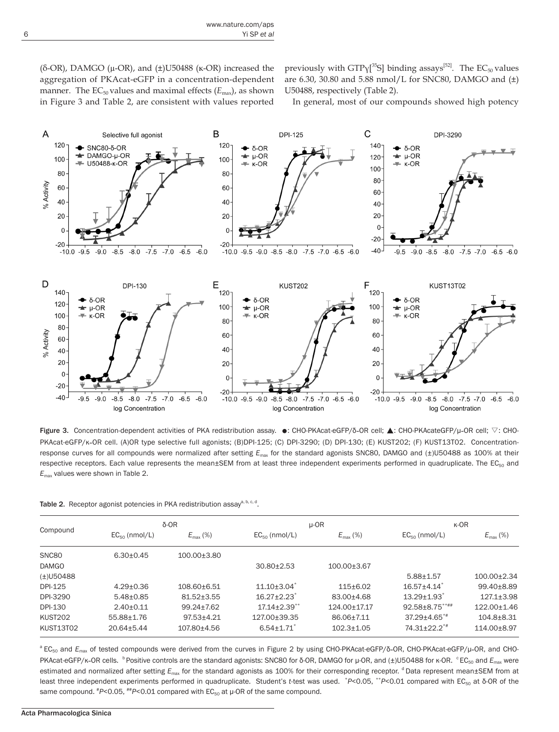(δ-OR), DAMGO (µ-OR), and (±)U50488 (κ-OR) increased the aggregation of PKAcat-eGFP in a concentration-dependent manner. The  $EC_{50}$  values and maximal effects  $(E_{\text{max}})$ , as shown in Figure 3 and Table 2, are consistent with values reported

previously with GTP $\gamma$ <sup>[35</sup>S] binding assays<sup>[52]</sup>. The EC<sub>50</sub> values are 6.30, 30.80 and 5.88 nmol/L for SNC80, DAMGO and (±) U50488, respectively (Table 2).

In general, most of our compounds showed high potency



Figure 3. Concentration-dependent activities of PKA redistribution assay. ●: CHO-PKAcat-eGFP/δ-OR cell; ▲: CHO-PKAcateGFP/μ-OR cell; ▽: CHO-PKAcat-eGFP/κ-OR cell. (A)OR type selective full agonists; (B)DPI-125; (C) DPI-3290; (D) DPI-130; (E) KUST202; (F) KUST13T02. Concentrationresponse curves for all compounds were normalized after setting  $E_{\text{max}}$  for the standard agonists SNC80, DAMGO and (±)U50488 as 100% at their respective receptors. Each value represents the mean±SEM from at least three independent experiments performed in quadruplicate. The EC<sub>50</sub> and *E*<sub>max</sub> values were shown in Table 2.

|  |  |  |  |  | Table 2. Receptor agonist potencies in PKA redistribution assay <sup>a, b, c, d</sup> . |  |  |
|--|--|--|--|--|-----------------------------------------------------------------------------------------|--|--|
|--|--|--|--|--|-----------------------------------------------------------------------------------------|--|--|

| Compound            | $\delta$ -OR       |                      |                              | $\mu$ -OR            | K-OR                           |                      |
|---------------------|--------------------|----------------------|------------------------------|----------------------|--------------------------------|----------------------|
|                     | $EC_{50}$ (nmol/L) | $E_{\text{max}}$ (%) | $EC_{50}$ (nmol/L)           | $E_{\text{max}}$ (%) | $EC_{50}$ (nmol/L)             | $E_{\text{max}}$ (%) |
| SNC80               | $6.30 + 0.45$      | 100.00+3.80          |                              |                      |                                |                      |
| <b>DAMGO</b>        |                    |                      | $30.80 + 2.53$               | 100.00+3.67          |                                |                      |
| $(\pm)$ U50488      |                    |                      |                              |                      | $5.88 \pm 1.57$                | $100.00 + 2.34$      |
| DPI-125             | $4.29 + 0.36$      | 108.60+6.51          | $11.10 + 3.04$               | $115+6.02$           | $16.57 \pm 4.14$ <sup>*</sup>  | 99.40+8.89           |
| DPI-3290            | $5.48 + 0.85$      | 81.52+3.55           | $16.27 + 2.23$ <sup>*</sup>  | 83.00+4.68           | $13.29 + 1.93$ <sup>*</sup>    | $127.1 + 3.98$       |
| DPI-130             | $2.40 + 0.11$      | $99.24 + 7.62$       | $17.14 + 2.39$ <sup>**</sup> | 124.00+17.17         | 92.58±8.75**##                 | 122.00+1.46          |
| KUST <sub>202</sub> | 55.88+1.76         | 97.53+4.21           | 127.00+39.35                 | 86.06+7.11           | $37.29 \pm 4.65$ <sup>*#</sup> | $104.8 + 8.31$       |
| KUST13T02           | $20.64 + 5.44$     | 107.80+4.56          | $6.54 + 1.71$                | $102.3 + 1.05$       | $74.31 + 22.2$ <sup>**</sup>   | 114.00+8.97          |

<sup>a</sup> EC<sub>50</sub> and *E<sub>max</sub>* of tested compounds were derived from the curves in Figure 2 by using CHO-PKAcat-eGFP/δ-OR, CHO-PKAcat-eGFP/μ-OR, and CHO-PKAcat-eGFP/κ-OR cells. <sup>b</sup>Positive controls are the standard agonists: SNC80 for δ-OR, DAMGO for μ-OR, and (±)U50488 for κ-OR. <sup>c</sup> EC<sub>50</sub> and *E*<sub>max</sub> were estimated and normalized after setting  $E_{\text{max}}$  for the standard agonists as 100% for their corresponding receptor. <sup>d</sup> Data represent mean±SEM from at least three independent experiments performed in quadruplicate. Student's *t*-test was used. <sup>\*</sup>*P*<0.05, <sup>\*\*</sup>*P*<0.01 compared with EC<sub>50</sub> at δ-OR of the same compound. <sup>#</sup>P<0.05, <sup>##</sup>P<0.01 compared with EC<sub>50</sub> at µ-OR of the same compound.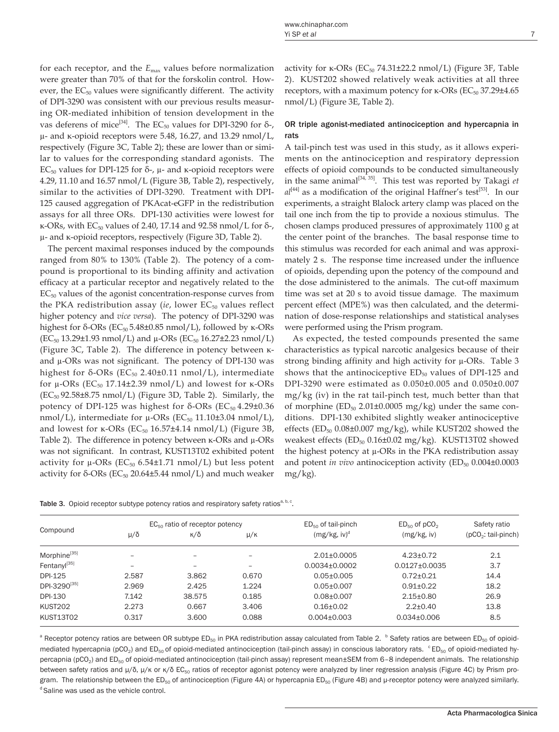for each receptor, and the  $E_{\text{max}}$  values before normalization were greater than 70% of that for the forskolin control. However, the  $EC_{50}$  values were significantly different. The activity of DPI-3290 was consistent with our previous results measuring OR-mediated inhibition of tension development in the vas deferens of mice<sup>[34]</sup>. The EC<sub>50</sub> values for DPI-3290 for  $\delta$ -, µ- and κ-opioid receptors were 5.48, 16.27, and 13.29 nmol/L, respectively (Figure 3C, Table 2); these are lower than or similar to values for the corresponding standard agonists. The EC<sub>50</sub> values for DPI-125 for δ-, μ- and κ-opioid receptors were 4.29, 11.10 and 16.57 nmol/L (Figure 3B, Table 2), respectively, similar to the activities of DPI-3290. Treatment with DPI-125 caused aggregation of PKAcat-eGFP in the redistribution assays for all three ORs. DPI-130 activities were lowest for κ-ORs, with EC<sub>50</sub> values of 2.40, 17.14 and 92.58 nmol/L for δ-, µ- and κ-opioid receptors, respectively (Figure 3D, Table 2).

The percent maximal responses induced by the compounds ranged from 80% to 130% (Table 2). The potency of a compound is proportional to its binding affinity and activation efficacy at a particular receptor and negatively related to the  $EC_{50}$  values of the agonist concentration-response curves from the PKA redistribution assay *(ie, lower*  $EC_{50}$  *values reflect* higher potency and *vice versa*). The potency of DPI-3290 was highest for δ-ORs ( $EC_{50}$  5.48±0.85 nmol/L), followed by κ-ORs  $(EC_{50} 13.29 \pm 1.93 \text{ nmol/L})$  and  $\mu$ -ORs  $(EC_{50} 16.27 \pm 2.23 \text{ nmol/L})$ (Figure 3C, Table 2). The difference in potency between κand  $\mu$ -ORs was not significant. The potency of DPI-130 was highest for δ-ORs (EC<sub>50</sub> 2.40±0.11 nmol/L), intermediate for μ-ORs (EC<sub>50</sub> 17.14±2.39 nmol/L) and lowest for κ-ORs  $(EC_{50} 92.58±8.75$  nmol/L) (Figure 3D, Table 2). Similarly, the potency of DPI-125 was highest for δ-ORs ( $EC_{50}$  4.29±0.36 nmol/L), intermediate for  $\mu$ -ORs (EC<sub>50</sub> 11.10±3.04 nmol/L), and lowest for κ-ORs ( $EC_{50}$  16.57±4.14 nmol/L) (Figure 3B, Table 2). The difference in potency between κ-ORs and µ-ORs was not significant. In contrast, KUST13T02 exhibited potent activity for  $\mu$ -ORs (EC<sub>50</sub> 6.54±1.71 nmol/L) but less potent activity for δ-ORs ( $EC_{50}$  20.64±5.44 nmol/L) and much weaker

activity for κ-ORs ( $EC_{50}$  74.31±22.2 nmol/L) (Figure 3F, Table 2). KUST202 showed relatively weak activities at all three receptors, with a maximum potency for  $\kappa$ -ORs (EC<sub>50</sub> 37.29 $\pm$ 4.65 nmol/L) (Figure 3E, Table 2).

## OR triple agonist-mediated antinociception and hypercapnia in rats

A tail-pinch test was used in this study, as it allows experiments on the antinociception and respiratory depression effects of opioid compounds to be conducted simultaneously in the same animal[34, 35]. This test was reported by Takagi *et*   $al^{[44]}$  as a modification of the original Haffner's test<sup>[53]</sup>. In our experiments, a straight Blalock artery clamp was placed on the tail one inch from the tip to provide a noxious stimulus. The chosen clamps produced pressures of approximately 1100 g at the center point of the branches. The basal response time to this stimulus was recorded for each animal and was approximately 2 s. The response time increased under the influence of opioids, depending upon the potency of the compound and the dose administered to the animals. The cut-off maximum time was set at 20 s to avoid tissue damage. The maximum percent effect (MPE%) was then calculated, and the determination of dose-response relationships and statistical analyses were performed using the Prism program.

As expected, the tested compounds presented the same characteristics as typical narcotic analgesics because of their strong binding affinity and high activity for µ-ORs. Table 3 shows that the antinociceptive  $ED_{50}$  values of DPI-125 and DPI-3290 were estimated as 0.050±0.005 and 0.050±0.007 mg/kg (iv) in the rat tail-pinch test, much better than that of morphine  $(ED_{50} 2.01 \pm 0.0005 \text{ mg/kg})$  under the same conditions. DPI-130 exhibited slightly weaker antinociceptive effects  $(ED_{50} 0.08\pm0.007 mg/kg)$ , while KUST202 showed the weakest effects  $(ED_{50} 0.16±0.02 mg/kg)$ . KUST13T02 showed the highest potency at  $\mu$ -ORs in the PKA redistribution assay and potent *in vivo* antinociception activity (ED<sub>50</sub> 0.004±0.0003 mg/kg).

Table 3. Opioid receptor subtype potency ratios and respiratory safety ratios<sup>a, b, c</sup>.

| Compound                 | $EC_{50}$ ratio of receptor potency |        |          | $ED_{50}$ of tail-pinch | $ED_{50}$ of pCO <sub>2</sub> | Safety ratio         |
|--------------------------|-------------------------------------|--------|----------|-------------------------|-------------------------------|----------------------|
|                          | $\mu/\delta$                        | к/δ    | $\mu$ /K | $(mg/kg, iv)^d$         | (mg/kg, iv)                   | $(pCO2: tail-pinch)$ |
| Morphine <sup>[35]</sup> | $\overline{\phantom{0}}$            |        |          | $2.01 \pm 0.0005$       | $4.23 + 0.72$                 | 2.1                  |
| Fentanyl <sup>[35]</sup> | $\qquad \qquad -$                   | -      |          | 0.0034+0.0002           | $0.0127 \pm 0.0035$           | 3.7                  |
| DPI-125                  | 2.587                               | 3.862  | 0.670    | $0.05 + 0.005$          | $0.72 \pm 0.21$               | 14.4                 |
| DPI-3290[35]             | 2.969                               | 2.425  | 1.224    | $0.05 + 0.007$          | $0.91 \pm 0.22$               | 18.2                 |
| <b>DPI-130</b>           | 7.142                               | 38.575 | 0.185    | $0.08 + 0.007$          | $2.15 \pm 0.80$               | 26.9                 |
| KUST <sub>202</sub>      | 2.273                               | 0.667  | 3.406    | $0.16 + 0.02$           | $2.2 + 0.40$                  | 13.8                 |
| KUST13T02                | 0.317                               | 3.600  | 0.088    | $0.004 \pm 0.003$       | $0.034 \pm 0.006$             | 8.5                  |

 $^{\text{a}}$  Receptor potency ratios are between OR subtype ED<sub>50</sub> in PKA redistribution assay calculated from Table 2.  $^{\text{b}}$  Safety ratios are between ED<sub>50</sub> of opioidmediated hypercapnia (pCO<sub>2</sub>) and ED<sub>50</sub> of opioid-mediated antinociception (tail-pinch assay) in conscious laboratory rats. <sup>c</sup>ED<sub>50</sub> of opioid-mediated hypercapnia (pCO<sub>2</sub>) and ED<sub>50</sub> of opioid-mediated antinociception (tail-pinch assay) represent mean $\pm$ SEM from 6-8 independent animals. The relationship between safety ratios and μ/δ, μ/κ or κ/δ EC<sub>50</sub> ratios of receptor agonist potency were analyzed by liner regression analysis (Figure 4C) by Prism program. The relationship between the ED<sub>50</sub> of antinociception (Figure 4A) or hypercapnia ED<sub>50</sub> (Figure 4B) and µ-receptor potency were analyzed similarly. <sup>d</sup> Saline was used as the vehicle control.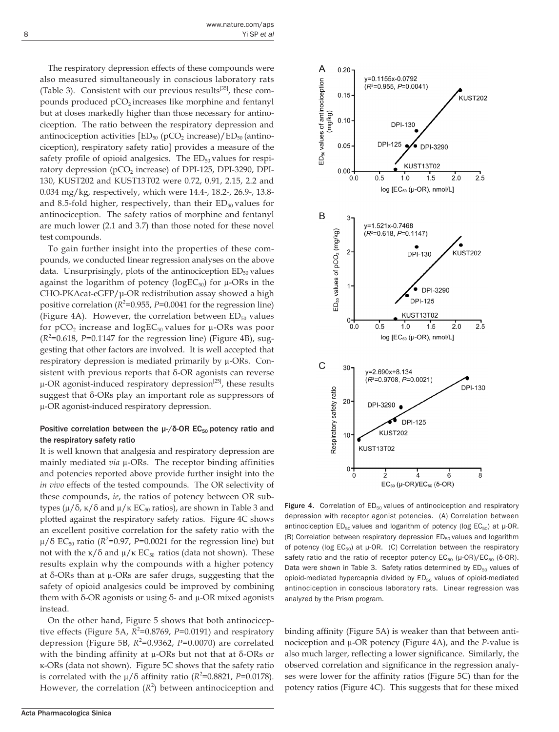A

 $0.20$ 

The respiratory depression effects of these compounds were also measured simultaneously in conscious laboratory rats (Table 3). Consistent with our previous results $^{[35]}$ , these compounds produced pCO<sub>2</sub> increases like morphine and fentanyl but at doses markedly higher than those necessary for antinociception. The ratio between the respiratory depression and antinociception activities  $[ED_{50} (pCO<sub>2</sub> increase)/ED_{50} (antino$ ciception), respiratory safety ratio] provides a measure of the safety profile of opioid analgesics. The  $ED_{50}$  values for respiratory depression (pCO<sub>2</sub> increase) of DPI-125, DPI-3290, DPI-130, KUST202 and KUST13T02 were 0.72, 0.91, 2.15, 2.2 and 0.034 mg/kg, respectively, which were 14.4-, 18.2-, 26.9-, 13.8 and 8.5-fold higher, respectively, than their  $ED_{50}$  values for antinociception. The safety ratios of morphine and fentanyl are much lower (2.1 and 3.7) than those noted for these novel test compounds.

To gain further insight into the properties of these compounds, we conducted linear regression analyses on the above data. Unsurprisingly, plots of the antinociception  $ED_{50}$  values against the logarithm of potency ( $logEC_{50}$ ) for  $\mu$ -ORs in the CHO-PKAcat-eGFP/μ-OR redistribution assay showed a high positive correlation ( $R^2$ =0.955, *P*=0.0041 for the regression line) (Figure 4A). However, the correlation between  $ED_{50}$  values for  $pCO<sub>2</sub>$  increase and  $logEC<sub>50</sub>$  values for  $\mu$ -ORs was poor  $(R<sup>2</sup>=0.618, P=0.1147$  for the regression line) (Figure 4B), suggesting that other factors are involved. It is well accepted that respiratory depression is mediated primarily by µ-ORs. Consistent with previous reports that δ-OR agonists can reverse  $\mu$ -OR agonist-induced respiratory depression<sup>[25]</sup>, these results suggest that δ-ORs play an important role as suppressors of µ-OR agonist-induced respiratory depression.

## Positive correlation between the  $\mu$ -/δ-OR EC<sub>50</sub> potency ratio and the respiratory safety ratio

It is well known that analgesia and respiratory depression are mainly mediated *via* µ-ORs. The receptor binding affinities and potencies reported above provide further insight into the *in vivo* effects of the tested compounds. The OR selectivity of these compounds, *ie*, the ratios of potency between OR subtypes ( $\mu$ /δ, κ/δ and  $\mu$ /κ EC<sub>50</sub> ratios), are shown in Table 3 and plotted against the respiratory safety ratios. Figure 4C shows an excellent positive correlation for the safety ratio with the  $\mu$ /δ EC<sub>50</sub> ratio ( $R^2$ =0.97, *P*=0.0021 for the regression line) but not with the κ/δ and  $\mu$ /κ EC<sub>50</sub> ratios (data not shown). These results explain why the compounds with a higher potency at δ-ORs than at µ-ORs are safer drugs, suggesting that the safety of opioid analgesics could be improved by combining them with δ-OR agonists or using δ- and µ-OR mixed agonists instead.

On the other hand, Figure 5 shows that both antinociceptive effects (Figure 5A,  $R^2$ =0.8769,  $P$ =0.0191) and respiratory depression (Figure 5B,  $R^2$ =0.9362,  $P$ =0.0070) are correlated with the binding affinity at µ-ORs but not that at δ-ORs or κ-ORs (data not shown). Figure 5C shows that the safety ratio is correlated with the  $\mu/\delta$  affinity ratio ( $R^2$ =0.8821, *P*=0.0178). However, the correlation  $(R^2)$  between antinociception and



Figure 4. Correlation of  $ED_{50}$  values of antinociception and respiratory depression with receptor agonist potencies. (A) Correlation between antinociception  $ED_{50}$  values and logarithm of potency (log  $EC_{50}$ ) at  $\mu$ -OR. (B) Correlation between respiratory depression  $ED_{50}$  values and logarithm of potency (log  $EC_{50}$ ) at  $\mu$ -OR. (C) Correlation between the respiratory safety ratio and the ratio of receptor potency  $EC_{50}$  ( $\mu$ -OR)/ $EC_{50}$  ( $\delta$ -OR). Data were shown in Table 3. Safety ratios determined by  $ED_{50}$  values of opioid-mediated hypercapnia divided by  $ED_{50}$  values of opioid-mediated antinociception in conscious laboratory rats. Linear regression was analyzed by the Prism program.

binding affinity (Figure 5A) is weaker than that between antinociception and µ-OR potency (Figure 4A), and the *P*-value is also much larger, reflecting a lower significance. Similarly, the observed correlation and significance in the regression analyses were lower for the affinity ratios (Figure 5C) than for the potency ratios (Figure 4C). This suggests that for these mixed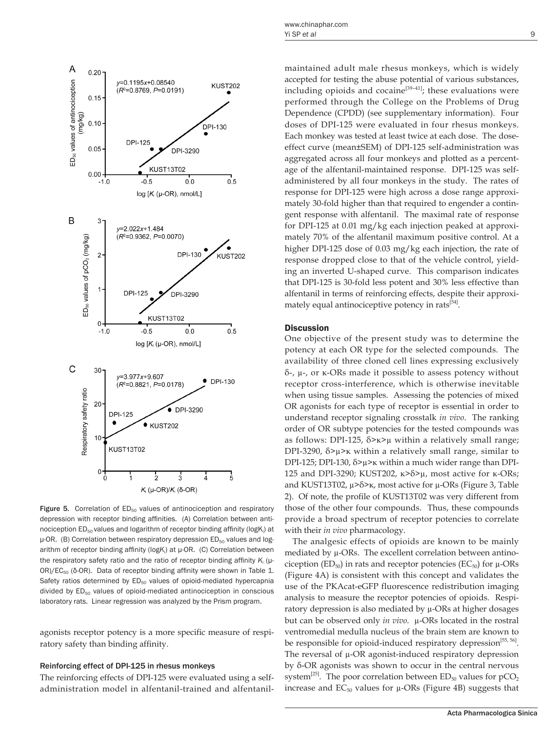

Figure 5. Correlation of  $ED_{50}$  values of antinociception and respiratory depression with receptor binding affinities. (A) Correlation between antinociception  $\mathsf{ED}_{50}$  values and logarithm of receptor binding affinity (logK<sub>i</sub>) at  $\mu$ -OR. (B) Correlation between respiratory depression ED<sub>50</sub> values and logarithm of receptor binding affinity (log*K*<sup>i</sup> ) at µ-OR. (C) Correlation between the respiratory safety ratio and the ratio of receptor binding affinity *K*<sup>i</sup> (µ-OR)/EC<sub>50</sub> (δ-OR). Data of receptor binding affinity were shown in Table 1. Safety ratios determined by ED<sub>50</sub> values of opioid-mediated hypercapnia divided by  $ED_{50}$  values of opioid-mediated antinociception in conscious laboratory rats. Linear regression was analyzed by the Prism program.

agonists receptor potency is a more specific measure of respiratory safety than binding affinity.

#### Reinforcing effect of DPI-125 in rhesus monkeys

The reinforcing effects of DPI-125 were evaluated using a selfadministration model in alfentanil-trained and alfentanil-

maintained adult male rhesus monkeys, which is widely accepted for testing the abuse potential of various substances, including opioids and cocaine<sup>[39-41]</sup>; these evaluations were performed through the College on the Problems of Drug Dependence (CPDD) (see supplementary information). Four doses of DPI-125 were evaluated in four rhesus monkeys. Each monkey was tested at least twice at each dose. The doseeffect curve (mean±SEM) of DPI-125 self-administration was aggregated across all four monkeys and plotted as a percentage of the alfentanil-maintained response. DPI-125 was selfadministered by all four monkeys in the study. The rates of response for DPI-125 were high across a dose range approximately 30-fold higher than that required to engender a contingent response with alfentanil. The maximal rate of response for DPI-125 at 0.01 mg/kg each injection peaked at approximately 70% of the alfentanil maximum positive control. At a higher DPI-125 dose of 0.03 mg/kg each injection, the rate of response dropped close to that of the vehicle control, yielding an inverted U-shaped curve. This comparison indicates that DPI-125 is 30-fold less potent and 30% less effective than alfentanil in terms of reinforcing effects, despite their approximately equal antinociceptive potency in rats<sup>[54]</sup>.

## **Discussion**

One objective of the present study was to determine the potency at each OR type for the selected compounds. The availability of three cloned cell lines expressing exclusively δ-, µ-, or κ-ORs made it possible to assess potency without receptor cross-interference, which is otherwise inevitable when using tissue samples. Assessing the potencies of mixed OR agonists for each type of receptor is essential in order to understand receptor signaling crosstalk *in vivo*. The ranking order of OR subtype potencies for the tested compounds was as follows: DPI-125,  $\delta > \kappa > \mu$  within a relatively small range; DPI-3290, δ>µ>κ within a relatively small range, similar to DPI-125; DPI-130, δ>µ>κ within a much wider range than DPI-125 and DPI-3290; KUST202, κ>δ>µ, most active for κ-ORs; and KUST13T02, µ>δ>κ, most active for µ-ORs (Figure 3, Table 2). Of note, the profile of KUST13T02 was very different from those of the other four compounds. Thus, these compounds provide a broad spectrum of receptor potencies to correlate with their *in vivo* pharmacology.

The analgesic effects of opioids are known to be mainly mediated by µ-ORs. The excellent correlation between antinociception (ED<sub>50</sub>) in rats and receptor potencies (EC<sub>50</sub>) for  $\mu$ -ORs (Figure 4A) is consistent with this concept and validates the use of the PKAcat-eGFP fluorescence redistribution imaging analysis to measure the receptor potencies of opioids. Respiratory depression is also mediated by  $\mu$ -ORs at higher dosages but can be observed only *in vivo*. µ-ORs located in the rostral ventromedial medulla nucleus of the brain stem are known to be responsible for opioid-induced respiratory depression<sup>[55, 56]</sup>. The reversal of  $\mu$ -OR agonist-induced respiratory depression by δ-OR agonists was shown to occur in the central nervous system<sup>[25]</sup>. The poor correlation between  $ED_{50}$  values for  $pCO_2$ increase and  $EC_{50}$  values for  $\mu$ -ORs (Figure 4B) suggests that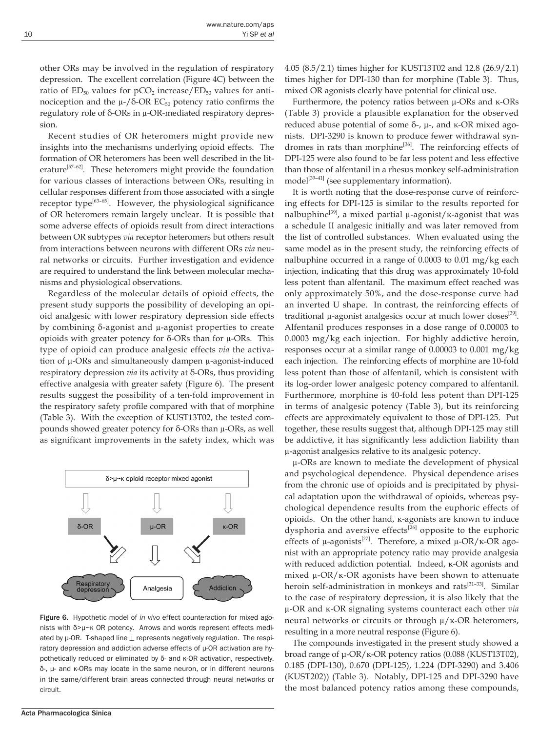other ORs may be involved in the regulation of respiratory depression. The excellent correlation (Figure 4C) between the ratio of  $ED_{50}$  values for  $pCO_2$  increase/ $ED_{50}$  values for antinociception and the  $\mu$ -/δ-OR EC<sub>50</sub> potency ratio confirms the regulatory role of δ-ORs in µ-OR-mediated respiratory depression.

Recent studies of OR heteromers might provide new insights into the mechanisms underlying opioid effects. The formation of OR heteromers has been well described in the literature<sup>[57-62]</sup>. These heteromers might provide the foundation for various classes of interactions between ORs, resulting in cellular responses different from those associated with a single receptor type<sup> $[63-65]$ </sup>. However, the physiological significance of OR heteromers remain largely unclear. It is possible that some adverse effects of opioids result from direct interactions between OR subtypes *via* receptor heteromers but others result from interactions between neurons with different ORs *via* neural networks or circuits. Further investigation and evidence are required to understand the link between molecular mechanisms and physiological observations.

Regardless of the molecular details of opioid effects, the present study supports the possibility of developing an opioid analgesic with lower respiratory depression side effects by combining δ-agonist and µ-agonist properties to create opioids with greater potency for δ-ORs than for µ-ORs. This type of opioid can produce analgesic effects *via* the activation of µ-ORs and simultaneously dampen µ-agonist-induced respiratory depression *via* its activity at δ-ORs, thus providing effective analgesia with greater safety (Figure 6). The present results suggest the possibility of a ten-fold improvement in the respiratory safety profile compared with that of morphine (Table 3). With the exception of KUST13T02, the tested compounds showed greater potency for δ-ORs than µ-ORs, as well as significant improvements in the safety index, which was



Figure 6. Hypothetic model of *in vivo* effect counteraction for mixed agonists with δ>µ~κ OR potency. Arrows and words represent effects mediated by μ-OR. T-shaped line  $⊥$  represents negatively regulation. The respiratory depression and addiction adverse effects of µ-OR activation are hypothetically reduced or eliminated by δ- and κ-OR activation, respectively. δ-, µ- and κ-ORs may locate in the same neuron, or in different neurons in the same/different brain areas connected through neural networks or circuit.

4.05 (8.5/2.1) times higher for KUST13T02 and 12.8 (26.9/2.1) times higher for DPI-130 than for morphine (Table 3). Thus, mixed OR agonists clearly have potential for clinical use.

Furthermore, the potency ratios between µ-ORs and κ-ORs (Table 3) provide a plausible explanation for the observed reduced abuse potential of some  $\delta$ -, μ-, and κ-OR mixed agonists. DPI-3290 is known to produce fewer withdrawal syndromes in rats than morphine<sup>[36]</sup>. The reinforcing effects of DPI-125 were also found to be far less potent and less effective than those of alfentanil in a rhesus monkey self-administration model<sup>[39-41]</sup> (see supplementary information).

It is worth noting that the dose-response curve of reinforcing effects for DPI-125 is similar to the results reported for nalbuphine<sup>[39]</sup>, a mixed partial  $\mu$ -agonist/ $\kappa$ -agonist that was a schedule II analgesic initially and was later removed from the list of controlled substances. When evaluated using the same model as in the present study, the reinforcing effects of nalbuphine occurred in a range of 0.0003 to 0.01 mg/kg each injection, indicating that this drug was approximately 10-fold less potent than alfentanil. The maximum effect reached was only approximately 50%, and the dose-response curve had an inverted U shape. In contrast, the reinforcing effects of traditional  $\mu$ -agonist analgesics occur at much lower doses<sup>[39]</sup>. Alfentanil produces responses in a dose range of 0.00003 to 0.0003 mg/kg each injection. For highly addictive heroin, responses occur at a similar range of 0.00003 to 0.001 mg/kg each injection. The reinforcing effects of morphine are 10-fold less potent than those of alfentanil, which is consistent with its log-order lower analgesic potency compared to alfentanil. Furthermore, morphine is 40-fold less potent than DPI-125 in terms of analgesic potency (Table 3), but its reinforcing effects are approximately equivalent to those of DPI-125. Put together, these results suggest that, although DPI-125 may still be addictive, it has significantly less addiction liability than µ-agonist analgesics relative to its analgesic potency.

µ-ORs are known to mediate the development of physical and psychological dependence. Physical dependence arises from the chronic use of opioids and is precipitated by physical adaptation upon the withdrawal of opioids, whereas psychological dependence results from the euphoric effects of opioids. On the other hand, κ-agonists are known to induce dysphoria and aversive effects<sup>[26]</sup> opposite to the euphoric effects of  $\mu$ -agonists<sup>[27]</sup>. Therefore, a mixed  $\mu$ -OR/ $\kappa$ -OR agonist with an appropriate potency ratio may provide analgesia with reduced addiction potential. Indeed, κ-OR agonists and mixed µ-OR/κ-OR agonists have been shown to attenuate heroin self-administration in monkeys and rats<sup>[31-33]</sup>. Similar to the case of respiratory depression, it is also likely that the µ-OR and κ-OR signaling systems counteract each other *via* neural networks or circuits or through µ/κ-OR heteromers, resulting in a more neutral response (Figure 6).

The compounds investigated in the present study showed a broad range of μ-OR/κ-OR potency ratios (0.088 (KUST13T02), 0.185 (DPI-130), 0.670 (DPI-125), 1.224 (DPI-3290) and 3.406 (KUST202)) (Table 3). Notably, DPI-125 and DPI-3290 have the most balanced potency ratios among these compounds,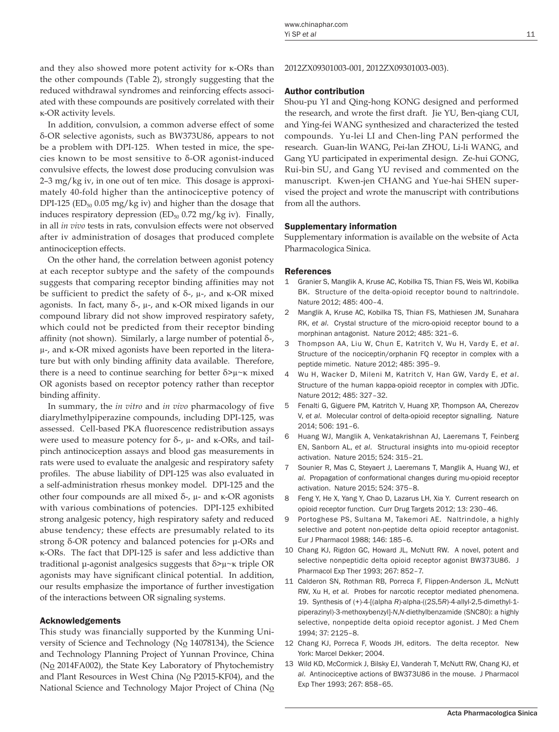and they also showed more potent activity for κ-ORs than the other compounds (Table 2), strongly suggesting that the reduced withdrawal syndromes and reinforcing effects associated with these compounds are positively correlated with their κ-OR activity levels.

In addition, convulsion, a common adverse effect of some δ-OR selective agonists, such as BW373U86, appears to not be a problem with DPI-125. When tested in mice, the species known to be most sensitive to δ-OR agonist-induced convulsive effects, the lowest dose producing convulsion was 2–3 mg/kg iv, in one out of ten mice. This dosage is approximately 40-fold higher than the antinociceptive potency of DPI-125 ( $ED_{50}$  0.05 mg/kg iv) and higher than the dosage that induces respiratory depression  $(ED_{50} 0.72 \text{ mg/kg iv})$ . Finally, in all *in vivo* tests in rats, convulsion effects were not observed after iv administration of dosages that produced complete antinociception effects.

On the other hand, the correlation between agonist potency at each receptor subtype and the safety of the compounds suggests that comparing receptor binding affinities may not be sufficient to predict the safety of δ-, µ-, and κ-OR mixed agonists. In fact, many δ-, µ-, and κ-OR mixed ligands in our compound library did not show improved respiratory safety, which could not be predicted from their receptor binding affinity (not shown). Similarly, a large number of potential δ-, µ-, and κ-OR mixed agonists have been reported in the literature but with only binding affinity data available. Therefore, there is a need to continue searching for better  $δ > μ ~κ$  mixed OR agonists based on receptor potency rather than receptor binding affinity.

In summary, the *in vitro* and *in vivo* pharmacology of five diarylmethylpiperazine compounds, including DPI-125, was assessed. Cell-based PKA fluorescence redistribution assays were used to measure potency for δ-,  $\mu$ - and κ-ORs, and tailpinch antinociception assays and blood gas measurements in rats were used to evaluate the analgesic and respiratory safety profiles. The abuse liability of DPI-125 was also evaluated in a self-administration rhesus monkey model. DPI-125 and the other four compounds are all mixed δ-, µ- and κ-OR agonists with various combinations of potencies. DPI-125 exhibited strong analgesic potency, high respiratory safety and reduced abuse tendency; these effects are presumably related to its strong δ-OR potency and balanced potencies for μ-ORs and κ-ORs. The fact that DPI-125 is safer and less addictive than traditional μ-agonist analgesics suggests that δ>µ~κ triple OR agonists may have significant clinical potential. In addition, our results emphasize the importance of further investigation of the interactions between OR signaling systems.

## Acknowledgements

This study was financially supported by the Kunming University of Science and Technology ( $NQ$  14078134), the Science and Technology Planning Project of Yunnan Province, China ( $NQ$  2014FA002), the State Key Laboratory of Phytochemistry and Plant Resources in West China (No P2015-KF04), and the National Science and Technology Major Project of China (No

2012ZX09301003-001, 2012ZX09301003-003).

## Author contribution

Shou-pu YI and Qing-hong KONG designed and performed the research, and wrote the first draft. Jie YU, Ben-qiang CUI, and Ying-fei WANG synthesized and characterized the tested compounds. Yu-lei LI and Chen-ling PAN performed the research. Guan-lin WANG, Pei-lan ZHOU, Li-li WANG, and Gang YU participated in experimental design. Ze-hui GONG, Rui-bin SU, and Gang YU revised and commented on the manuscript. Kwen-jen CHANG and Yue-hai SHEN supervised the project and wrote the manuscript with contributions from all the authors.

## Supplementary information

Supplementary information is available on the website of Acta Pharmacologica Sinica.

#### References

- 1 Granier S, Manglik A, Kruse AC, Kobilka TS, Thian FS, Weis WI, Kobilka BK. Structure of the delta-opioid receptor bound to naltrindole. Nature 2012; 485: 400–4.
- 2 Manglik A, Kruse AC, Kobilka TS, Thian FS, Mathiesen JM, Sunahara RK, *et al*. Crystal structure of the micro-opioid receptor bound to a morphinan antagonist. Nature 2012; 485: 321–6.
- 3 Thompson AA, Liu W, Chun E, Katritch V, Wu H, Vardy E, *et al*. Structure of the nociceptin/orphanin FQ receptor in complex with a peptide mimetic. Nature 2012; 485: 395–9.
- 4 Wu H, Wacker D, Mileni M, Katritch V, Han GW, Vardy E, *et al*. Structure of the human kappa-opioid receptor in complex with JDTic. Nature 2012; 485: 327–32.
- 5 Fenalti G, Giguere PM, Katritch V, Huang XP, Thompson AA, Cherezov V, *et al*. Molecular control of delta-opioid receptor signalling. Nature 2014; 506: 191–6.
- 6 Huang WJ, Manglik A, Venkatakrishnan AJ, Laeremans T, Feinberg EN, Sanborn AL, *et al*. Structural insights into mu-opioid receptor activation. Nature 2015; 524: 315–21.
- 7 Sounier R, Mas C, Steyaert J, Laeremans T, Manglik A, Huang WJ, *et al*. Propagation of conformational changes during mu-opioid receptor activation. Nature 2015; 524: 375–8.
- 8 Feng Y, He X, Yang Y, Chao D, Lazarus LH, Xia Y. Current research on opioid receptor function. Curr Drug Targets 2012; 13: 230–46.
- 9 Portoghese PS, Sultana M, Takemori AE. Naltrindole, a highly selective and potent non-peptide delta opioid receptor antagonist. Eur J Pharmacol 1988; 146: 185–6.
- 10 Chang KJ, Rigdon GC, Howard JL, McNutt RW. A novel, potent and selective nonpeptidic delta opioid receptor agonist BW373U86. J Pharmacol Exp Ther 1993; 267: 852–7.
- 11 Calderon SN, Rothman RB, Porreca F, Flippen-Anderson JL, McNutt RW, Xu H, *et al*. Probes for narcotic receptor mediated phenomena. 19. Synthesis of (+)-4-[(alpha *R*)-alpha-((2*S*,5*R*)-4-allyl-2,5-dimethyl-1 piperazinyl)-3-methoxybenzyl]-*N*,*N*-diethylbenzamide (SNC80): a highly selective, nonpeptide delta opioid receptor agonist. J Med Chem 1994; 37: 2125–8.
- 12 Chang KJ, Porreca F, Woods JH, editors. The delta receptor. New York: Marcel Dekker; 2004.
- 13 Wild KD, McCormick J, Bilsky EJ, Vanderah T, McNutt RW, Chang KJ, *et al*. Antinociceptive actions of BW373U86 in the mouse. J Pharmacol Exp Ther 1993; 267: 858–65.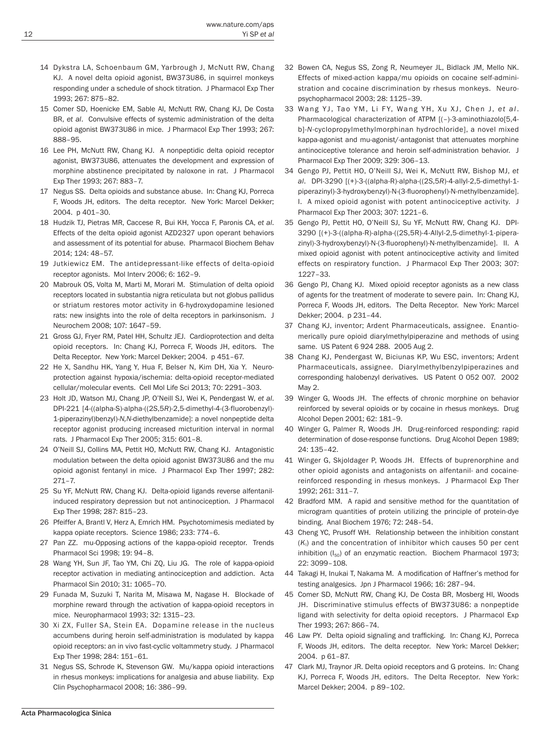- 14 Dykstra LA, Schoenbaum GM, Yarbrough J, McNutt RW, Chang KJ. A novel delta opioid agonist, BW373U86, in squirrel monkeys responding under a schedule of shock titration. J Pharmacol Exp Ther 1993; 267: 875–82.
- 15 Comer SD, Hoenicke EM, Sable AI, McNutt RW, Chang KJ, De Costa BR, *et al*. Convulsive effects of systemic administration of the delta opioid agonist BW373U86 in mice. J Pharmacol Exp Ther 1993; 267: 888–95.
- 16 Lee PH, McNutt RW, Chang KJ. A nonpeptidic delta opioid receptor agonist, BW373U86, attenuates the development and expression of morphine abstinence precipitated by naloxone in rat. J Pharmacol Exp Ther 1993; 267: 883–7.
- 17 Negus SS. Delta opioids and substance abuse. In: Chang KJ, Porreca F, Woods JH, editors. The delta receptor. New York: Marcel Dekker; 2004. p 401–30.
- 18 Hudzik TJ, Pietras MR, Caccese R, Bui KH, Yocca F, Paronis CA, *et al*. Effects of the delta opioid agonist AZD2327 upon operant behaviors and assessment of its potential for abuse. Pharmacol Biochem Behav 2014; 124: 48–57.
- 19 Jutkiewicz EM. The antidepressant-like effects of delta-opioid receptor agonists. Mol Interv 2006; 6: 162–9.
- 20 Mabrouk OS, Volta M, Marti M, Morari M. Stimulation of delta opioid receptors located in substantia nigra reticulata but not globus pallidus or striatum restores motor activity in 6-hydroxydopamine lesioned rats: new insights into the role of delta receptors in parkinsonism. J Neurochem 2008; 107: 1647–59.
- 21 Gross GJ, Fryer RM, Patel HH, Schultz JEJ. Cardioprotection and delta opioid receptors. In: Chang KJ, Porreca F, Woods JH, editors. The Delta Receptor. New York: Marcel Dekker; 2004. p 451–67.
- 22 He X, Sandhu HK, Yang Y, Hua F, Belser N, Kim DH, Xia Y. Neuroprotection against hypoxia/ischemia: delta-opioid receptor-mediated cellular/molecular events. Cell Mol Life Sci 2013; 70: 2291–303.
- 23 Holt JD, Watson MJ, Chang JP, O'Neill SJ, Wei K, Pendergast W, *et al*. DPI-221 [4-((alpha-S)-alpha-((2*S*,5*R*)-2,5-dimethyl-4-(3-fluorobenzyl)- 1-piperazinyl)benzyl)-*N,N*-diethylbenzamide]: a novel nonpeptide delta receptor agonist producing increased micturition interval in normal rats. J Pharmacol Exp Ther 2005; 315: 601–8.
- 24 O'Neill SJ, Collins MA, Pettit HO, McNutt RW, Chang KJ. Antagonistic modulation between the delta opioid agonist BW373U86 and the mu opioid agonist fentanyl in mice. J Pharmacol Exp Ther 1997; 282:  $271 - 7$ .
- 25 Su YF, McNutt RW, Chang KJ. Delta-opioid ligands reverse alfentanilinduced respiratory depression but not antinociception. J Pharmacol Exp Ther 1998; 287: 815–23.
- 26 Pfeiffer A, Brantl V, Herz A, Emrich HM. Psychotomimesis mediated by kappa opiate receptors. Science 1986; 233: 774–6.
- 27 Pan ZZ. mu-Opposing actions of the kappa-opioid receptor. Trends Pharmacol Sci 1998; 19: 94–8.
- 28 Wang YH, Sun JF, Tao YM, Chi ZQ, Liu JG. The role of kappa-opioid receptor activation in mediating antinociception and addiction. Acta Pharmacol Sin 2010; 31: 1065–70.
- 29 Funada M, Suzuki T, Narita M, Misawa M, Nagase H. Blockade of morphine reward through the activation of kappa-opioid receptors in mice. Neuropharmacol 1993; 32: 1315–23.
- 30 Xi ZX, Fuller SA, Stein EA. Dopamine release in the nucleus accumbens during heroin self-administration is modulated by kappa opioid receptors: an in vivo fast-cyclic voltammetry study. J Pharmacol Exp Ther 1998; 284: 151–61.
- 31 Negus SS, Schrode K, Stevenson GW. Mu/kappa opioid interactions in rhesus monkeys: implications for analgesia and abuse liability. Exp Clin Psychopharmacol 2008; 16: 386–99.
- 32 Bowen CA, Negus SS, Zong R, Neumeyer JL, Bidlack JM, Mello NK. Effects of mixed-action kappa/mu opioids on cocaine self-administration and cocaine discrimination by rhesus monkeys. Neuropsychopharmacol 2003; 28: 1125–39.
- 33 Wang YJ, Tao YM, Li FY, Wang YH, Xu XJ, Chen J, *et al* . Pharmacological characterization of ATPM [(-)-3-aminothiazolo[5,4b]-*N*-cyclopropylmethylmorphinan hydrochloride], a novel mixed kappa-agonist and mu-agonist/-antagonist that attenuates morphine antinociceptive tolerance and heroin self-administration behavior. J Pharmacol Exp Ther 2009; 329: 306–13.
- 34 Gengo PJ, Pettit HO, O'Neill SJ, Wei K, McNutt RW, Bishop MJ, *et al*. DPI-3290 [(+)-3-((alpha-R)-alpha-((2*S*,5*R*)-4-allyl-2,5-dimethyl-1 piperazinyl)-3-hydroxybenzyl)-N-(3-fluorophenyl)-N-methylbenzamide]. I. A mixed opioid agonist with potent antinociceptive activity. J Pharmacol Exp Ther 2003; 307: 1221–6.
- 35 Gengo PJ, Pettit HO, O'Neill SJ, Su YF, McNutt RW, Chang KJ. DPI-3290 [(+)-3-((alpha-R)-alpha-((2S,5R)-4-Allyl-2,5-dimethyl-1-piperazinyl)-3-hydroxybenzyl)-N-(3-fluorophenyl)-N-methylbenzamide]. II. A mixed opioid agonist with potent antinociceptive activity and limited effects on respiratory function. J Pharmacol Exp Ther 2003; 307: 1227–33.
- 36 Gengo PJ, Chang KJ. Mixed opioid receptor agonists as a new class of agents for the treatment of moderate to severe pain. In: Chang KJ, Porreca F, Woods JH, editors. The Delta Receptor. New York: Marcel Dekker; 2004. p 231–44.
- 37 Chang KJ, inventor; Ardent Pharmaceuticals, assignee. Enantiomerically pure opioid diarylmethylpiperazine and methods of using same. US Patent 6 924 288. 2005 Aug 2.
- 38 Chang KJ, Pendergast W, Biciunas KP, Wu ESC, inventors; Ardent Pharmaceuticals, assignee. Diarylmethylbenzylpiperazines and corresponding halobenzyl derivatives. US Patent 0 052 007. 2002 May 2.
- 39 Winger G, Woods JH. The effects of chronic morphine on behavior reinforced by several opioids or by cocaine in rhesus monkeys. Drug Alcohol Depen 2001; 62: 181–9.
- 40 Winger G, Palmer R, Woods JH. Drug-reinforced responding: rapid determination of dose-response functions. Drug Alcohol Depen 1989; 24: 135–42.
- 41 Winger G, Skjoldager P, Woods JH. Effects of buprenorphine and other opioid agonists and antagonists on alfentanil- and cocainereinforced responding in rhesus monkeys. J Pharmacol Exp Ther 1992; 261: 311–7.
- 42 Bradford MM. A rapid and sensitive method for the quantitation of microgram quantities of protein utilizing the principle of protein-dye binding. Anal Biochem 1976; 72: 248–54.
- 43 Cheng YC, Prusoff WH. Relationship between the inhibition constant (*K*I) and the concentration of inhibitor which causes 50 per cent inhibition  $(I_{50})$  of an enzymatic reaction. Biochem Pharmacol 1973; 22: 3099–108.
- 44 Takagi H, Inukai T, Nakama M. A modification of Haffner's method for testing analgesics. Jpn J Pharmacol 1966; 16: 287–94.
- 45 Comer SD, McNutt RW, Chang KJ, De Costa BR, Mosberg HI, Woods JH. Discriminative stimulus effects of BW373U86: a nonpeptide ligand with selectivity for delta opioid receptors. J Pharmacol Exp Ther 1993; 267: 866–74.
- 46 Law PY. Delta opioid signaling and trafficking. In: Chang KJ, Porreca F, Woods JH, editors. The delta receptor. New York: Marcel Dekker; 2004. p 61–87.
- 47 Clark MJ, Traynor JR. Delta opioid receptors and G proteins. In: Chang KJ, Porreca F, Woods JH, editors. The Delta Receptor. New York: Marcel Dekker; 2004. p 89–102.